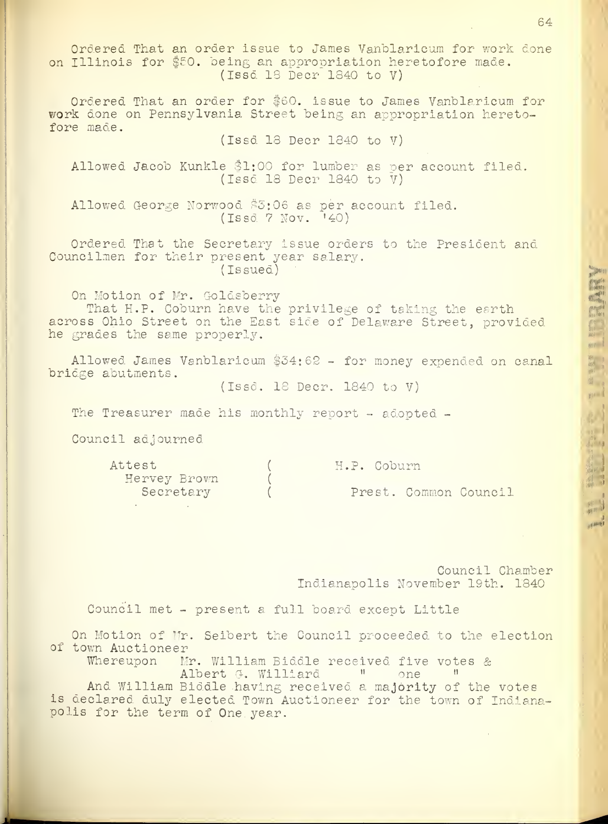Ordered That an order issue to James Vanblaricum for work done on Illinois for \$50. being an appropriation heretofore made. (Issd 18 Deer 1840 to V) Ordered That an order for \$60. issue to James Vanblaricum for work done on Pennsylvania Street being an appropriation heretofore made. (Issd 18 Deer 1840 to V) Allowed Jacob Kunkle \$1:00 for lumber as per account filed. (Issd 18 Deer 1840 to V) Allowed George Norwood \$5:06 as per account filed. (Issd ? Nov. '40) Ordered That the Secretary issue orders to the President and Councilmen for their present year salary. (Issued) On Motion of Mr. Goldsberry That H.P. Coburn have the privilege of taking the earth across Ohio Street on the East side of Delaware Street, provided he grades the same properly. Allowed James Vanblaricum \$34:62 - for money expended on canal bridge abutments. (Issd. 18 Deer. 1840 to V) The Treasurer made his monthly report - adopted -Council adjourned Attest (H.P. Coburn Hervey Brown ( Prest. Common Council Council Chamber Indianapolis November 19th. 1840 Council met - present a full board except Little On Motion of Mr. Seibert the Council proceeded to the election of town Auctioneer<br>Whereupon Mi Mr. William Biddle received five votes & Albert G. Williard (1)

And William Biddle having received a majority of the votes is declared duly elected Town Auctioneer for the town of Indianapolis for the term of One, year.

64

 $H^{\mu}$  $\frac{1}{\frac{1}{2}}$ 

<u>n y</u>